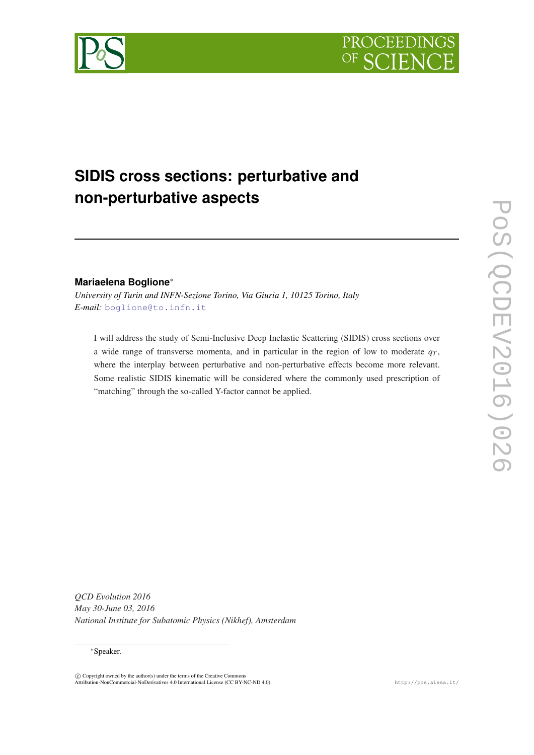



# **SIDIS cross sections: perturbative and non-perturbative aspects**

# **Mariaelena Boglione**<sup>∗</sup>

*University of Turin and INFN-Sezione Torino, Via Giuria 1, 10125 Torino, Italy E-mail:* [boglione@to.infn.it](mailto:boglione@to.infn.it)

I will address the study of Semi-Inclusive Deep Inelastic Scattering (SIDIS) cross sections over a wide range of transverse momenta, and in particular in the region of low to moderate  $q<sub>T</sub>$ , where the interplay between perturbative and non-perturbative effects become more relevant. Some realistic SIDIS kinematic will be considered where the commonly used prescription of "matching" through the so-called Y-factor cannot be applied.

POS(QCDEV2016)026 PoS(QCDEV2016)026

*QCD Evolution 2016 May 30-June 03, 2016 National Institute for Subatomic Physics (Nikhef), Amsterdam*

## <sup>∗</sup>Speaker.

 $\circled{c}$  Copyright owned by the author(s) under the terms of the Creative Commons Attribution-NonCommercial-NoDerivatives 4.0 International License (CC BY-NC-ND 4.0). http://pos.sissa.it/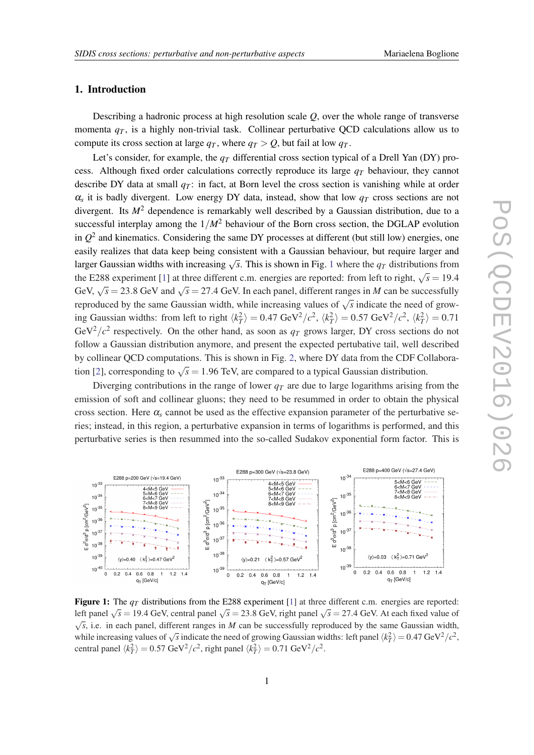#### 1. Introduction

Describing a hadronic process at high resolution scale *Q*, over the whole range of transverse momenta  $q<sub>T</sub>$ , is a highly non-trivial task. Collinear perturbative QCD calculations allow us to compute its cross section at large  $q_T$ , where  $q_T > Q$ , but fail at low  $q_T$ .

Let's consider, for example, the  $q<sub>T</sub>$  differential cross section typical of a Drell Yan (DY) process. Although fixed order calculations correctly reproduce its large *q<sup>T</sup>* behaviour, they cannot describe DY data at small  $q<sub>T</sub>$ : in fact, at Born level the cross section is vanishing while at order  $\alpha_s$  it is badly divergent. Low energy DY data, instead, show that low  $q_T$  cross sections are not divergent. Its  $M<sup>2</sup>$  dependence is remarkably well described by a Gaussian distribution, due to a successful interplay among the  $1/M^2$  behaviour of the Born cross section, the DGLAP evolution in  $Q<sup>2</sup>$  and kinematics. Considering the same DY processes at different (but still low) energies, one easily realizes that data keep being consistent with a Gaussian behaviour, but require larger and larger Gaussian widths with increasing  $\sqrt{s}$ . This is shown in Fig. 1 where the  $q_T$  distributions from the E288 experiment [\[1\]](#page-5-0) at three different c.m. energies are reported: from left to right,  $\sqrt{s} = 19.4$ GeV,  $\sqrt{s}$  = 23.8 GeV and  $\sqrt{s}$  = 27.4 GeV. In each panel, different ranges in *M* can be successfully reproduced by the same Gaussian width, while increasing values of  $\sqrt{s}$  indicate the need of growing Gaussian widths: from left to right  $\langle k_T^2 \rangle = 0.47 \text{ GeV}^2/c^2$ ,  $\langle k_T^2 \rangle = 0.57 \text{ GeV}^2/c^2$ ,  $\langle k_T^2 \rangle = 0.71$ GeV<sup>2</sup>/ $c^2$  respectively. On the other hand, as soon as  $q_T$  grows larger, DY cross sections do not follow a Gaussian distribution anymore, and present the expected pertubative tail, well described by collinear QCD computations. This is shown in Fig. [2,](#page-2-0) where DY data from the CDF Collabora-tion [[2](#page-6-0)], corresponding to  $\sqrt{s} = 1.96$  TeV, are compared to a typical Gaussian distribution.

Diverging contributions in the range of lower  $q<sub>T</sub>$  are due to large logarithms arising from the emission of soft and collinear gluons; they need to be resummed in order to obtain the physical cross section. Here  $\alpha_s$  cannot be used as the effective expansion parameter of the perturbative series; instead, in this region, a perturbative expansion in terms of logarithms is performed, and this perturbative series is then resummed into the so-called Sudakov exponential form factor. This is



**Figure 1:** The  $q<sub>T</sub>$  distributions from the E288 experiment [[1\]](#page-5-0) at three different c.m. energies are reported: left panel  $\sqrt{s}$  = 19.4 GeV, central panel  $\sqrt{s}$  = 23.8 GeV, right panel  $\sqrt{s}$  = 27.4 GeV. At each fixed value of  $\sqrt{s}$ , i.e. in each panel, different ranges in *M* can be successfully reproduced by the same Gaussian width, while increasing values of  $\sqrt{s}$  indicate the need of growing Gaussian widths: left panel  $\langle k_T^2 \rangle = 0.47 \text{ GeV}^2/c^2$ , central panel  $\langle k_T^2 \rangle = 0.57 \text{ GeV}^2/c^2$ , right panel  $\langle k_T^2 \rangle = 0.71 \text{ GeV}^2/c^2$ .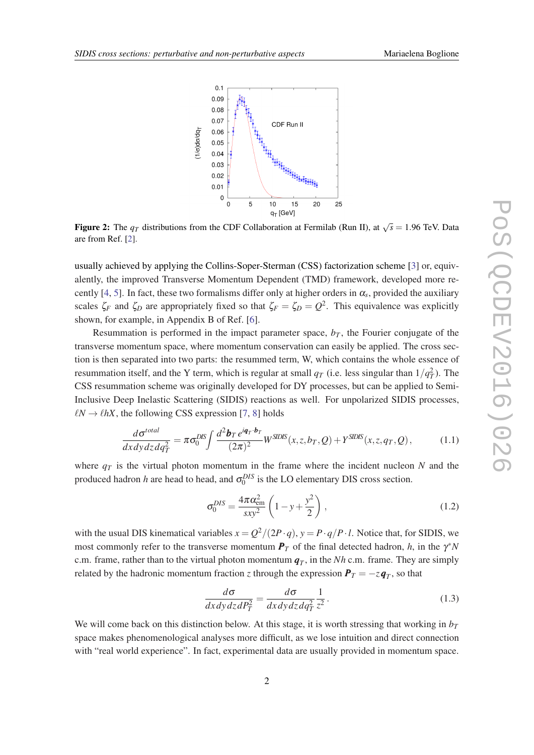<span id="page-2-0"></span>

**Figure 2:** The  $q_T$  distributions from the CDF Collaboration at Fermilab (Run II), at  $\sqrt{s} = 1.96$  TeV. Data are from Ref. [[2\]](#page-6-0).

usually achieved by applying the Collins-Soper-Sterman (CSS) factorization scheme [\[3\]](#page-6-0) or, equivalently, the improved Transverse Momentum Dependent (TMD) framework, developed more re-cently [\[4,](#page-6-0) [5](#page-6-0)]. In fact, these two formalisms differ only at higher orders in  $\alpha_s$ , provided the auxiliary scales  $\zeta_F$  and  $\zeta_D$  are appropriately fixed so that  $\zeta_F = \zeta_D = Q^2$ . This equivalence was explicitly shown, for example, in Appendix B of Ref. [\[6\]](#page-6-0).

Resummation is performed in the impact parameter space,  $b_T$ , the Fourier conjugate of the transverse momentum space, where momentum conservation can easily be applied. The cross section is then separated into two parts: the resummed term, W, which contains the whole essence of resummation itself, and the Y term, which is regular at small  $q_T$  (i.e. less singular than  $1/q_T^2$ ). The CSS resummation scheme was originally developed for DY processes, but can be applied to Semi-Inclusive Deep Inelastic Scattering (SIDIS) reactions as well. For unpolarized SIDIS processes,  $\ell N \rightarrow \ell hX$ , the following CSS expression [[7](#page-6-0), [8\]](#page-6-0) holds

$$
\frac{d\sigma^{total}}{dx dy dz dq_T^2} = \pi \sigma_0^{DIS} \int \frac{d^2 \mathbf{b}_T e^{i\mathbf{q}_T \cdot \mathbf{b}_T}}{(2\pi)^2} W^{SIDIS}(x, z, b_T, Q) + Y^{SIDIS}(x, z, q_T, Q), \tag{1.1}
$$

where  $q_T$  is the virtual photon momentum in the frame where the incident nucleon  $N$  and the produced hadron *h* are head to head, and  $\sigma_0^{DIS}$  is the LO elementary DIS cross section.

$$
\sigma_0^{DIS} = \frac{4\pi\alpha_{\rm em}^2}{sxy^2} \left(1 - y + \frac{y^2}{2}\right),\tag{1.2}
$$

with the usual DIS kinematical variables  $x = Q^2/(2P \cdot q)$ ,  $y = P \cdot q/P \cdot l$ . Notice that, for SIDIS, we most commonly refer to the transverse momentum  $P_T$  of the final detected hadron, *h*, in the  $\gamma^* N$ c.m. frame, rather than to the virtual photon momentum *q<sup>T</sup>* , in the *Nh* c.m. frame. They are simply related by the hadronic momentum fraction *z* through the expression  $\bm{P}_T = -z\bm{q}_T$ , so that

$$
\frac{d\sigma}{dx dy dz dP_T^2} = \frac{d\sigma}{dx dy dz dq_T^2} \frac{1}{z^2}.
$$
\n(1.3)

We will come back on this distinction below. At this stage, it is worth stressing that working in  $b_T$ space makes phenomenological analyses more difficult, as we lose intuition and direct connection with "real world experience". In fact, experimental data are usually provided in momentum space.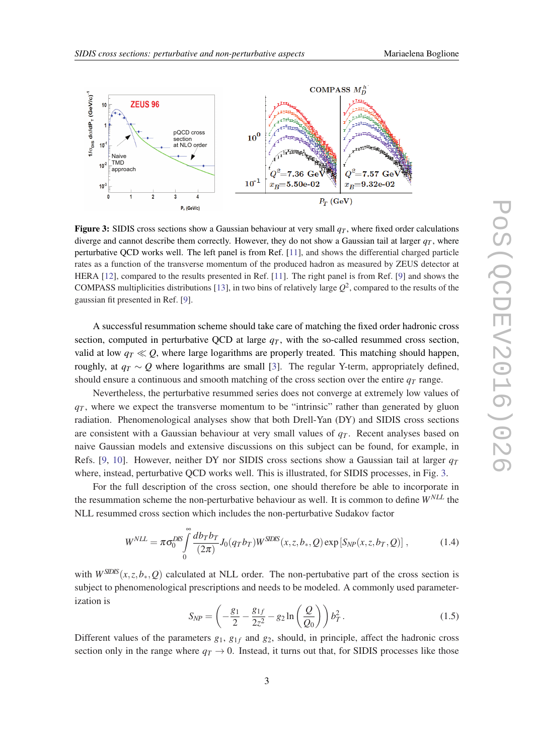

Figure 3: SIDIS cross sections show a Gaussian behaviour at very small  $q<sub>T</sub>$ , where fixed order calculations diverge and cannot describe them correctly. However, they do not show a Gaussian tail at larger  $q<sub>T</sub>$ , where perturbative QCD works well. The left panel is from Ref. [\[11](#page-6-0)], and shows the differential charged particle rates as a function of the transverse momentum of the produced hadron as measured by ZEUS detector at HERA [[12](#page-6-0)], compared to the results presented in Ref. [[11\]](#page-6-0). The right panel is from Ref. [\[9](#page-6-0)] and shows the COMPASS multiplicities distributions [[13](#page-6-0)], in two bins of relatively large  $Q^2$ , compared to the results of the gaussian fit presented in Ref. [\[9](#page-6-0)].

A successful resummation scheme should take care of matching the fixed order hadronic cross section, computed in perturbative QCD at large  $q<sub>T</sub>$ , with the so-called resummed cross section, valid at low  $q_T \ll Q$ , where large logarithms are properly treated. This matching should happen, roughly, at  $q_T \sim Q$  where logarithms are small [\[3\]](#page-6-0). The regular Y-term, appropriately defined, should ensure a continuous and smooth matching of the cross section over the entire  $q<sub>T</sub>$  range.

Nevertheless, the perturbative resummed series does not converge at extremely low values of  $q<sub>T</sub>$ , where we expect the transverse momentum to be "intrinsic" rather than generated by gluon radiation. Phenomenological analyses show that both Drell-Yan (DY) and SIDIS cross sections are consistent with a Gaussian behaviour at very small values of  $q<sub>T</sub>$ . Recent analyses based on naive Gaussian models and extensive discussions on this subject can be found, for example, in Refs. [[9,](#page-6-0) [10](#page-6-0)]. However, neither DY nor SIDIS cross sections show a Gaussian tail at larger *q<sup>T</sup>* where, instead, perturbative QCD works well. This is illustrated, for SIDIS processes, in Fig. 3.

For the full description of the cross section, one should therefore be able to incorporate in the resummation scheme the non-perturbative behaviour as well. It is common to define *WNLL* the NLL resummed cross section which includes the non-perturbative Sudakov factor

$$
W^{NLL} = \pi \sigma_0^{DIS} \int_0^\infty \frac{d b_T b_T}{(2\pi)} J_0(q_T b_T) W^{SDIS}(x, z, b_*, Q) \exp\left[S_{NP}(x, z, b_T, Q)\right],\tag{1.4}
$$

with  $W^{SDIS}(x, z, b_*, Q)$  calculated at NLL order. The non-pertubative part of the cross section is subject to phenomenological prescriptions and needs to be modeled. A commonly used parameterization is

$$
S_{NP} = \left(-\frac{g_1}{2} - \frac{g_{1f}}{2z^2} - g_2 \ln\left(\frac{Q}{Q_0}\right)\right) b_T^2.
$$
 (1.5)

Different values of the parameters  $g_1$ ,  $g_{1f}$  and  $g_2$ , should, in principle, affect the hadronic cross section only in the range where  $q_T \rightarrow 0$ . Instead, it turns out that, for SIDIS processes like those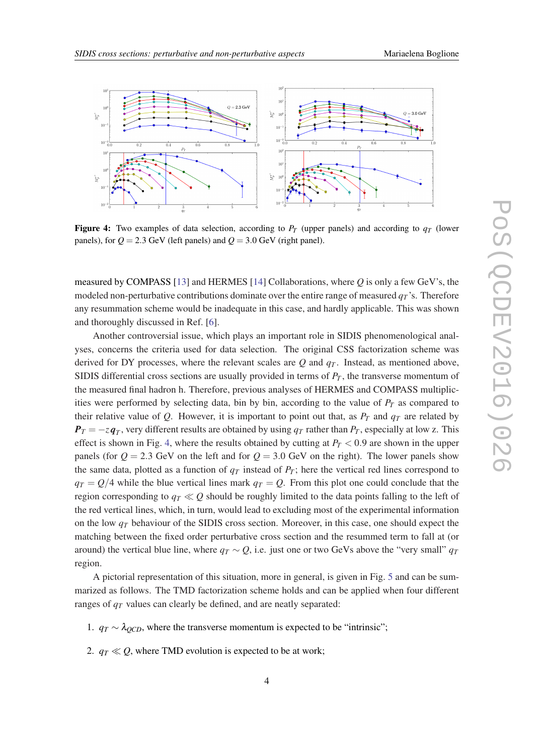

**Figure 4:** Two examples of data selection, according to  $P_T$  (upper panels) and according to  $q_T$  (lower panels), for  $Q = 2.3$  GeV (left panels) and  $Q = 3.0$  GeV (right panel).

measured by COMPASS [[13\]](#page-6-0) and HERMES [\[14](#page-6-0)] Collaborations, where *Q* is only a few GeV's, the modeled non-perturbative contributions dominate over the entire range of measured  $q<sub>T</sub>$ 's. Therefore any resummation scheme would be inadequate in this case, and hardly applicable. This was shown and thoroughly discussed in Ref. [\[6](#page-6-0)].

Another controversial issue, which plays an important role in SIDIS phenomenological analyses, concerns the criteria used for data selection. The original CSS factorization scheme was derived for DY processes, where the relevant scales are  $Q$  and  $q<sub>T</sub>$ . Instead, as mentioned above, SIDIS differential cross sections are usually provided in terms of  $P_T$ , the transverse momentum of the measured final hadron h. Therefore, previous analyses of HERMES and COMPASS multiplicities were performed by selecting data, bin by bin, according to the value of  $P_T$  as compared to their relative value of  $Q$ . However, it is important to point out that, as  $P_T$  and  $q_T$  are related by  $P_T = -z \mathbf{q}_T$ , very different results are obtained by using  $q_T$  rather than  $P_T$ , especially at low z. This effect is shown in Fig. 4, where the results obtained by cutting at  $P_T < 0.9$  are shown in the upper panels (for  $Q = 2.3$  GeV on the left and for  $Q = 3.0$  GeV on the right). The lower panels show the same data, plotted as a function of  $q<sub>T</sub>$  instead of  $P<sub>T</sub>$ ; here the vertical red lines correspond to  $q_T = Q/4$  while the blue vertical lines mark  $q_T = Q$ . From this plot one could conclude that the region corresponding to  $q_T \ll Q$  should be roughly limited to the data points falling to the left of the red vertical lines, which, in turn, would lead to excluding most of the experimental information on the low *q<sup>T</sup>* behaviour of the SIDIS cross section. Moreover, in this case, one should expect the matching between the fixed order perturbative cross section and the resummed term to fall at (or around) the vertical blue line, where  $q_T \sim Q$ , i.e. just one or two GeVs above the "very small"  $q_T$ region.

A pictorial representation of this situation, more in general, is given in Fig. [5](#page-5-0) and can be summarized as follows. The TMD factorization scheme holds and can be applied when four different ranges of *q<sup>T</sup>* values can clearly be defined, and are neatly separated:

- 1.  $q_T \sim \lambda_{OCD}$ , where the transverse momentum is expected to be "intrinsic";
- 2.  $q_T \ll Q$ , where TMD evolution is expected to be at work;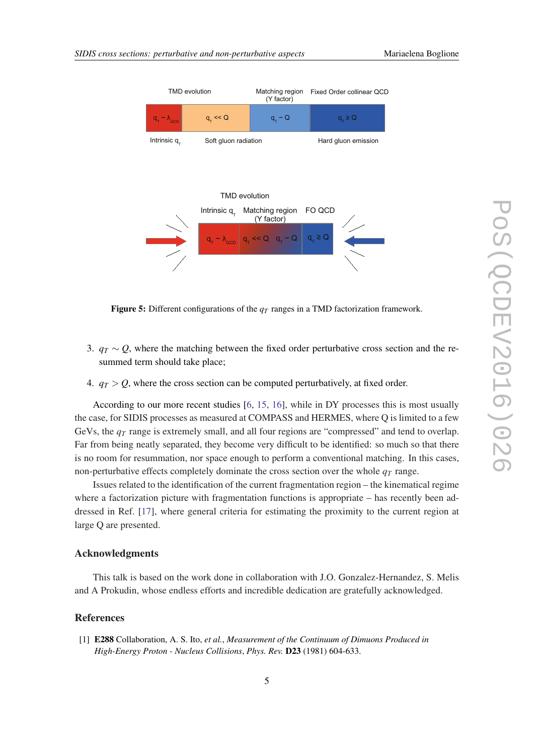<span id="page-5-0"></span>

**Figure 5:** Different configurations of the  $q<sub>T</sub>$  ranges in a TMD factorization framework.

- 3.  $q_T \sim Q$ , where the matching between the fixed order perturbative cross section and the resummed term should take place;
- 4.  $q_T > Q$ , where the cross section can be computed perturbatively, at fixed order.

According to our more recent studies [\[6,](#page-6-0) [15](#page-6-0), [16](#page-6-0)], while in DY processes this is most usually the case, for SIDIS processes as measured at COMPASS and HERMES, where Q is limited to a few GeVs, the  $q<sub>T</sub>$  range is extremely small, and all four regions are "compressed" and tend to overlap. Far from being neatly separated, they become very difficult to be identified: so much so that there is no room for resummation, nor space enough to perform a conventional matching. In this cases, non-perturbative effects completely dominate the cross section over the whole *q<sup>T</sup>* range.

Issues related to the identification of the current fragmentation region – the kinematical regime where a factorization picture with fragmentation functions is appropriate – has recently been addressed in Ref. [[17\]](#page-6-0), where general criteria for estimating the proximity to the current region at large Q are presented.

## Acknowledgments

This talk is based on the work done in collaboration with J.O. Gonzalez-Hernandez, S. Melis and A Prokudin, whose endless efforts and incredible dedication are gratefully acknowledged.

## References

[1] E288 Collaboration, A. S. Ito, *et al.*, *Measurement of the Continuum of Dimuons Produced in High-Energy Proton - Nucleus Collisions*, *Phys. Rev.* D23 (1981) 604-633.